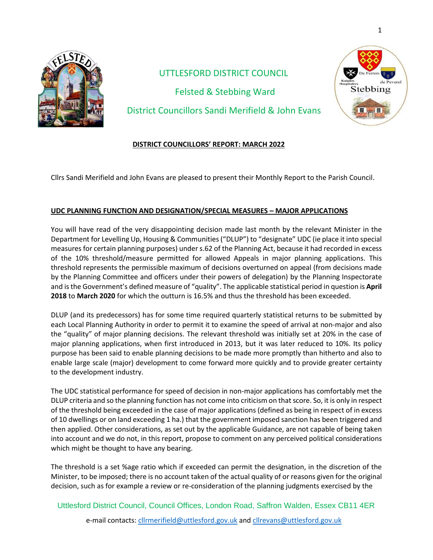

 UTTLESFORD DISTRICT COUNCIL Felsted & Stebbing Ward District Councillors Sandi Merifield & John Evans



Cllrs Sandi Merifield and John Evans are pleased to present their Monthly Report to the Parish Council.

## **UDC PLANNING FUNCTION AND DESIGNATION/SPECIAL MEASURES – MAJOR APPLICATIONS**

You will have read of the very disappointing decision made last month by the relevant Minister in the Department for Levelling Up, Housing & Communities("DLUP") to "designate" UDC (ie place it into special measures for certain planning purposes) under s.62 of the Planning Act, because it had recorded in excess of the 10% threshold/measure permitted for allowed Appeals in major planning applications. This threshold represents the permissible maximum of decisions overturned on appeal (from decisions made by the Planning Committee and officers under their powers of delegation) by the Planning Inspectorate and is the Government's defined measure of "quality". The applicable statistical period in question is **April 2018** to **March 2020** for which the outturn is 16.5% and thus the threshold has been exceeded.

DLUP (and its predecessors) has for some time required quarterly statistical returns to be submitted by each Local Planning Authority in order to permit it to examine the speed of arrival at non-major and also the "quality" of major planning decisions. The relevant threshold was initially set at 20% in the case of major planning applications, when first introduced in 2013, but it was later reduced to 10%. Its policy purpose has been said to enable planning decisions to be made more promptly than hitherto and also to enable large scale (major) development to come forward more quickly and to provide greater certainty to the development industry.

The UDC statistical performance for speed of decision in non-major applications has comfortably met the DLUP criteria and so the planning function has not come into criticism on that score. So, it is only in respect of the threshold being exceeded in the case of major applications (defined as being in respect of in excess of 10 dwellings or on land exceeding 1 ha.) that the government imposed sanction has been triggered and then applied. Other considerations, as set out by the applicable Guidance, are not capable of being taken into account and we do not, in this report, propose to comment on any perceived political considerations which might be thought to have any bearing.

The threshold is a set %age ratio which if exceeded can permit the designation, in the discretion of the Minister, to be imposed; there is no account taken of the actual quality of or reasons given for the original decision, such as for example a review or re-consideration of the planning judgments exercised by the

 Uttlesford District Council, Council Offices, London Road, Saffron Walden, Essex CB11 4ER e-mail contacts[: cllrmerifield@uttlesford.gov.uk](mailto:cllrmerifield@uttlesford.gov.uk) an[d cllrevans@uttlesford.gov.uk](mailto:cllrevans@uttlesford.gov.uk)

Stebbing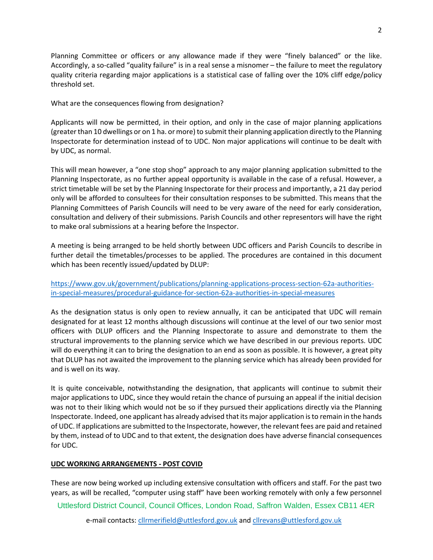Planning Committee or officers or any allowance made if they were "finely balanced" or the like. Accordingly, a so-called "quality failure" is in a real sense a misnomer – the failure to meet the regulatory quality criteria regarding major applications is a statistical case of falling over the 10% cliff edge/policy threshold set.

What are the consequences flowing from designation?

Applicants will now be permitted, in their option, and only in the case of major planning applications (greater than 10 dwellings or on 1 ha. or more) to submit their planning application directly to the Planning Inspectorate for determination instead of to UDC. Non major applications will continue to be dealt with by UDC, as normal.

This will mean however, a "one stop shop" approach to any major planning application submitted to the Planning Inspectorate, as no further appeal opportunity is available in the case of a refusal. However, a strict timetable will be set by the Planning Inspectorate for their process and importantly, a 21 day period only will be afforded to consultees for their consultation responses to be submitted. This means that the Planning Committees of Parish Councils will need to be very aware of the need for early consideration, consultation and delivery of their submissions. Parish Councils and other representors will have the right to make oral submissions at a hearing before the Inspector.

A meeting is being arranged to be held shortly between UDC officers and Parish Councils to describe in further detail the timetables/processes to be applied. The procedures are contained in this document which has been recently issued/updated by DLUP:

[https://www.gov.uk/government/publications/planning-applications-process-section-62a-authorities](https://www.gov.uk/government/publications/planning-applications-process-section-62a-authorities-in-special-measures/procedural-guidance-for-section-62a-authorities-in-special-measures)[in-special-measures/procedural-guidance-for-section-62a-authorities-in-special-measures](https://www.gov.uk/government/publications/planning-applications-process-section-62a-authorities-in-special-measures/procedural-guidance-for-section-62a-authorities-in-special-measures)

As the designation status is only open to review annually, it can be anticipated that UDC will remain designated for at least 12 months although discussions will continue at the level of our two senior most officers with DLUP officers and the Planning Inspectorate to assure and demonstrate to them the structural improvements to the planning service which we have described in our previous reports. UDC will do everything it can to bring the designation to an end as soon as possible. It is however, a great pity that DLUP has not awaited the improvement to the planning service which has already been provided for and is well on its way.

It is quite conceivable, notwithstanding the designation, that applicants will continue to submit their major applications to UDC, since they would retain the chance of pursuing an appeal if the initial decision was not to their liking which would not be so if they pursued their applications directly via the Planning Inspectorate. Indeed, one applicant has already advised that its major application is to remain in the hands of UDC. If applications are submitted to the Inspectorate, however, the relevant fees are paid and retained by them, instead of to UDC and to that extent, the designation does have adverse financial consequences for UDC.

## **UDC WORKING ARRANGEMENTS - POST COVID**

These are now being worked up including extensive consultation with officers and staff. For the past two years, as will be recalled, "computer using staff" have been working remotely with only a few personnel

Uttlesford District Council, Council Offices, London Road, Saffron Walden, Essex CB11 4ER

e-mail contacts[: cllrmerifield@uttlesford.gov.uk](mailto:cllrmerifield@uttlesford.gov.uk) an[d cllrevans@uttlesford.gov.uk](mailto:cllrevans@uttlesford.gov.uk)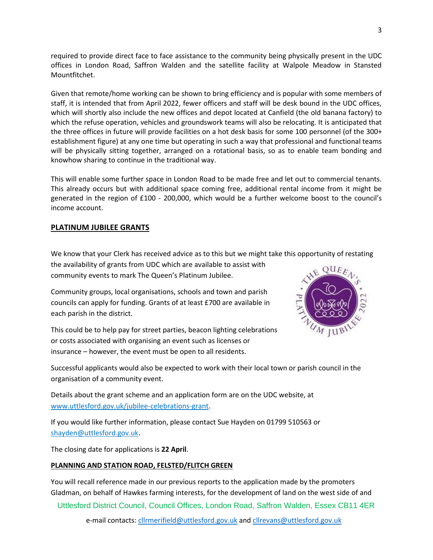required to provide direct face to face assistance to the community being physically present in the UDC offices in London Road, Saffron Walden and the satellite facility at Walpole Meadow in Stansted Mountfitchet.

Given that remote/home working can be shown to bring efficiency and is popular with some members of staff, it is intended that from April 2022, fewer officers and staff will be desk bound in the UDC offices, which will shortly also include the new offices and depot located at Canfield (the old banana factory) to which the refuse operation, vehicles and groundswork teams will also be relocating. It is anticipated that the three offices in future will provide facilities on a hot desk basis for some 100 personnel (of the 300+ establishment figure) at any one time but operating in such a way that professional and functional teams will be physically sitting together, arranged on a rotational basis, so as to enable team bonding and knowhow sharing to continue in the traditional way.

This will enable some further space in London Road to be made free and let out to commercial tenants. This already occurs but with additional space coming free, additional rental income from it might be generated in the region of £100 - 200,000, which would be a further welcome boost to the council's income account.

# **PLATINUM JUBILEE GRANTS**

We know that your Clerk has received advice as to this but we might take this opportunity of restating

the availability of grants from UDC which are available to assist with community events to mark The Queen's Platinum Jubilee.

Community groups, local organisations, schools and town and parish councils can apply for funding. Grants of at least £700 are available in each parish in the district.

This could be to help pay for street parties, beacon lighting celebrations or costs associated with organising an event such as licenses or insurance – however, the event must be open to all residents.



Successful applicants would also be expected to work with their local town or parish council in the organisation of a community event.

Details about the grant scheme and an application form are on the UDC website, at [www.uttlesford.gov.uk/jubilee-celebrations-grant.](https://lnks.gd/l/eyJhbGciOiJIUzI1NiJ9.eyJidWxsZXRpbl9saW5rX2lkIjoxMDYsInVyaSI6ImJwMjpjbGljayIsImJ1bGxldGluX2lkIjoiMjAyMjAyMjUuNTQwMTE4MTEiLCJ1cmwiOiJodHRwOi8vd3d3LnV0dGxlc2ZvcmQuZ292LnVrL2p1YmlsZWUtY2VsZWJyYXRpb25zLWdyYW50P3V0bV9tZWRpdW09ZW1haWwmdXRtX3NvdXJjZT1nb3ZkZWxpdmVyeSJ9.zq7koHpejUcs_reV52RTll1ius07I_8YqDYhB8rsZYs/s/997303483/br/127172661391-l)

If you would like further information, please contact Sue Hayden on 01799 510563 or [shayden@uttlesford.gov.uk.](mailto:shayden@uttlesford.gov.uk)

The closing date for applications is **22 April**.

## **PLANNING AND STATION ROAD, FELSTED/FLITCH GREEN**

You will recall reference made in our previous reports to the application made by the promoters Gladman, on behalf of Hawkes farming interests, for the development of land on the west side of and

Uttlesford District Council, Council Offices, London Road, Saffron Walden, Essex CB11 4ER